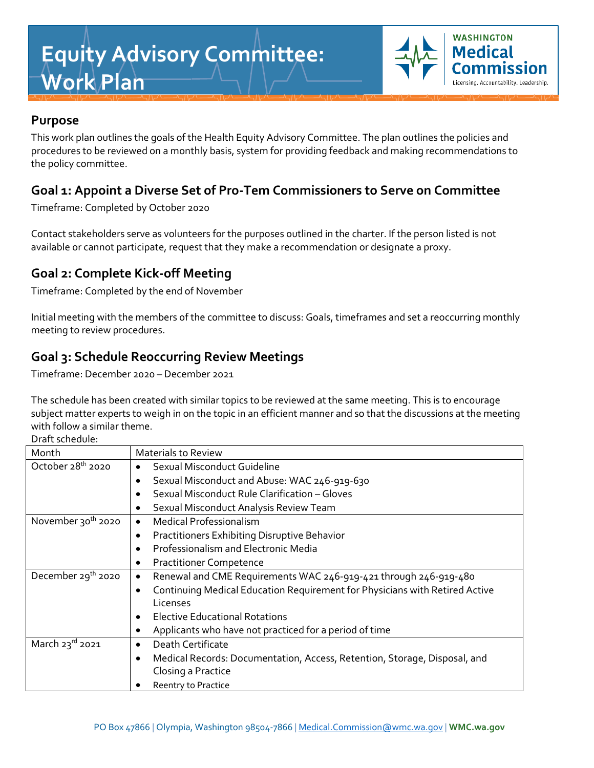# **Equity Advisory Committee: Work Plan**



## **Purpose**

This work plan outlines the goals of the Health Equity Advisory Committee. The plan outlines the policies and procedures to be reviewed on a monthly basis, system for providing feedback and making recommendations to the policy committee.

## **Goal 1: Appoint a Diverse Set of Pro-Tem Commissioners to Serve on Committee**

Timeframe: Completed by October 2020

Contact stakeholders serve as volunteers for the purposes outlined in the charter. If the person listed is not available or cannot participate, request that they make a recommendation or designate a proxy.

## **Goal 2: Complete Kick-off Meeting**

Timeframe: Completed by the end of November

Initial meeting with the members of the committee to discuss: Goals, timeframes and set a reoccurring monthly meeting to review procedures.

## **Goal 3: Schedule Reoccurring Review Meetings**

Timeframe: December 2020 – December 2021

The schedule has been created with similar topics to be reviewed at the same meeting. This is to encourage subject matter experts to weigh in on the topic in an efficient manner and so that the discussions at the meeting with follow a similar theme.

Draft schedule:

| Piult Jeneuvie.                |                                                                                  |
|--------------------------------|----------------------------------------------------------------------------------|
| Month                          | <b>Materials to Review</b>                                                       |
| October 28 <sup>th</sup> 2020  | Sexual Misconduct Guideline                                                      |
|                                | Sexual Misconduct and Abuse: WAC 246-919-630                                     |
|                                | Sexual Misconduct Rule Clarification - Gloves                                    |
|                                | Sexual Misconduct Analysis Review Team                                           |
| November 30 <sup>th</sup> 2020 | <b>Medical Professionalism</b><br>$\bullet$                                      |
|                                | Practitioners Exhibiting Disruptive Behavior                                     |
|                                | Professionalism and Electronic Media                                             |
|                                | <b>Practitioner Competence</b>                                                   |
| December 29 <sup>th</sup> 2020 | Renewal and CME Requirements WAC 246-919-421 through 246-919-480<br>$\bullet$    |
|                                | Continuing Medical Education Requirement for Physicians with Retired Active<br>٠ |
|                                | Licenses                                                                         |
|                                | <b>Elective Educational Rotations</b>                                            |
|                                | Applicants who have not practiced for a period of time                           |
| March 23rd 2021                | Death Certificate                                                                |
|                                | Medical Records: Documentation, Access, Retention, Storage, Disposal, and        |
|                                | Closing a Practice                                                               |
|                                | Reentry to Practice                                                              |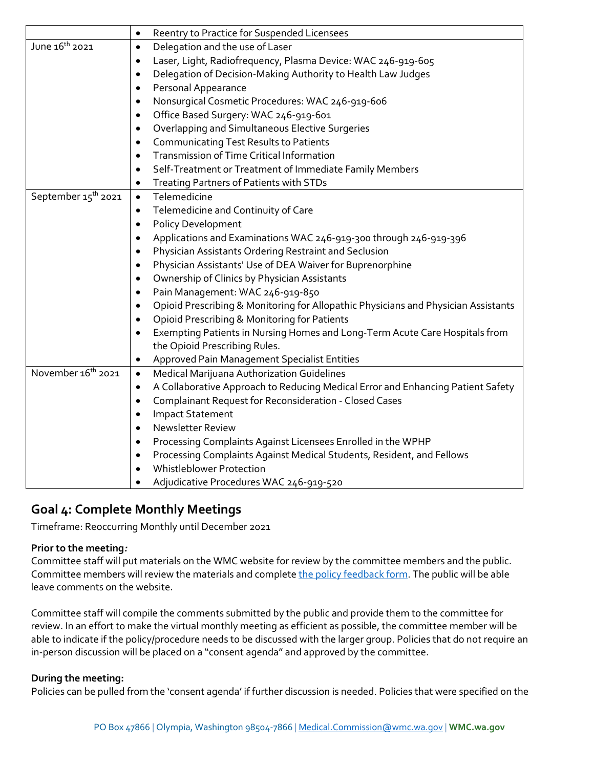|                                 | Reentry to Practice for Suspended Licensees<br>$\bullet$                                     |
|---------------------------------|----------------------------------------------------------------------------------------------|
| June 16 <sup>th</sup> 2021      | Delegation and the use of Laser<br>$\bullet$                                                 |
|                                 | Laser, Light, Radiofrequency, Plasma Device: WAC 246-919-605<br>$\bullet$                    |
|                                 | Delegation of Decision-Making Authority to Health Law Judges<br>$\bullet$                    |
|                                 | Personal Appearance<br>$\bullet$                                                             |
|                                 | Nonsurgical Cosmetic Procedures: WAC 246-919-606<br>٠                                        |
|                                 | Office Based Surgery: WAC 246-919-601<br>$\bullet$                                           |
|                                 | Overlapping and Simultaneous Elective Surgeries<br>$\bullet$                                 |
|                                 | Communicating Test Results to Patients<br>$\bullet$                                          |
|                                 | Transmission of Time Critical Information                                                    |
|                                 | Self-Treatment or Treatment of Immediate Family Members<br>$\bullet$                         |
|                                 | <b>Treating Partners of Patients with STDs</b><br>$\bullet$                                  |
| September 15 <sup>th</sup> 2021 | Telemedicine<br>$\bullet$                                                                    |
|                                 | Telemedicine and Continuity of Care<br>٠                                                     |
|                                 | <b>Policy Development</b><br>$\bullet$                                                       |
|                                 | Applications and Examinations WAC 246-919-300 through 246-919-396<br>$\bullet$               |
|                                 | Physician Assistants Ordering Restraint and Seclusion<br>$\bullet$                           |
|                                 | Physician Assistants' Use of DEA Waiver for Buprenorphine<br>$\bullet$                       |
|                                 | Ownership of Clinics by Physician Assistants<br>$\bullet$                                    |
|                                 | Pain Management: WAC 246-919-850<br>$\bullet$                                                |
|                                 | Opioid Prescribing & Monitoring for Allopathic Physicians and Physician Assistants           |
|                                 | Opioid Prescribing & Monitoring for Patients                                                 |
|                                 | Exempting Patients in Nursing Homes and Long-Term Acute Care Hospitals from<br>$\bullet$     |
|                                 | the Opioid Prescribing Rules.                                                                |
|                                 | Approved Pain Management Specialist Entities                                                 |
| November 16 <sup>th</sup> 2021  | Medical Marijuana Authorization Guidelines<br>$\bullet$                                      |
|                                 | A Collaborative Approach to Reducing Medical Error and Enhancing Patient Safety<br>$\bullet$ |
|                                 | Complainant Request for Reconsideration - Closed Cases<br>$\bullet$                          |
|                                 | <b>Impact Statement</b><br>$\bullet$                                                         |
|                                 | Newsletter Review<br>$\bullet$                                                               |
|                                 | Processing Complaints Against Licensees Enrolled in the WPHP                                 |
|                                 | Processing Complaints Against Medical Students, Resident, and Fellows<br>$\bullet$           |
|                                 | <b>Whistleblower Protection</b>                                                              |
|                                 | Adjudicative Procedures WAC 246-919-520                                                      |

## **Goal 4: Complete Monthly Meetings**

Timeframe: Reoccurring Monthly until December 2021

#### **Prior to the meeting***:*

Committee staff will put materials on the WMC website for review by the committee members and the public. Committee members will review the materials and complete the policy [feedback form.](#page-2-0) The public will be able leave comments on the website.

Committee staff will compile the comments submitted by the public and provide them to the committee for review. In an effort to make the virtual monthly meeting as efficient as possible, the committee member will be able to indicate if the policy/procedure needs to be discussed with the larger group. Policies that do not require an in-person discussion will be placed on a "consent agenda" and approved by the committee.

#### **During the meeting:**

Policies can be pulled from the 'consent agenda' if further discussion is needed. Policies that were specified on the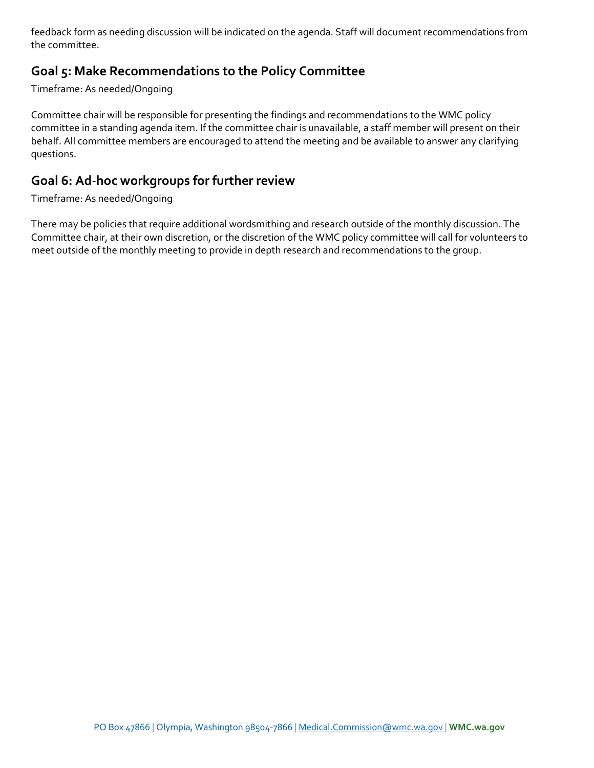feedback form as needing discussion will be indicated on the agenda. Staff will document recommendations from the committee.

## **Goal 5: Make Recommendations to the Policy Committee**

Timeframe: As needed/Ongoing

Committee chair will be responsible for presenting the findings and recommendations to the WMC policy committee in a standing agenda item. If the committee chair is unavailable, a staff member will present on their behalf. All committee members are encouraged to attend the meeting and be available to answer any clarifying questions.

### **Goal 6: Ad-hoc workgroups for further review**

#### Timeframe: As needed/Ongoing

<span id="page-2-0"></span>There may be policies that require additional wordsmithing and research outside of the monthly discussion. The Committee chair, at their own discretion, or the discretion of the WMC policy committee will call for volunteers to meet outside of the monthly meeting to provide in depth research and recommendations to the group.